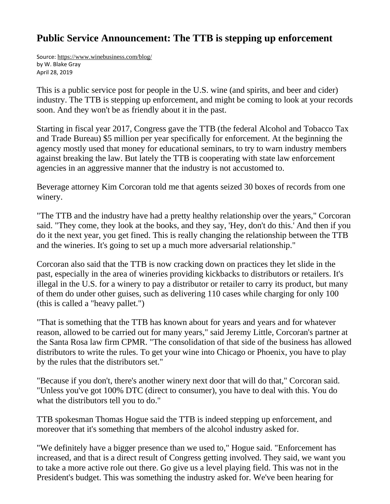## **Public Service Announcement: The TTB is stepping up enforcement**

Source: <https://www.winebusiness.com/blog/> by W. Blake Gray April 28, 2019

This is a public service post for people in the U.S. wine (and spirits, and beer and cider) industry. The TTB is stepping up enforcement, and might be coming to look at your records soon. And they won't be as friendly about it in the past.

Starting in fiscal year 2017, Congress gave the TTB (the federal Alcohol and Tobacco Tax and Trade Bureau) \$5 million per year specifically for enforcement. At the beginning the agency mostly used that money for educational seminars, to try to warn industry members against breaking the law. But lately the TTB is cooperating with state law enforcement agencies in an aggressive manner that the industry is not accustomed to.

Beverage attorney Kim Corcoran told me that agents seized 30 boxes of records from one winery.

"The TTB and the industry have had a pretty healthy relationship over the years," Corcoran said. "They come, they look at the books, and they say, 'Hey, don't do this.' And then if you do it the next year, you get fined. This is really changing the relationship between the TTB and the wineries. It's going to set up a much more adversarial relationship."

Corcoran also said that the TTB is now cracking down on practices they let slide in the past, especially in the area of wineries providing kickbacks to distributors or retailers. It's illegal in the U.S. for a winery to pay a distributor or retailer to carry its product, but many of them do under other guises, such as delivering 110 cases while charging for only 100 (this is called a "heavy pallet.")

"That is something that the TTB has known about for years and years and for whatever reason, allowed to be carried out for many years," said Jeremy Little, Corcoran's partner at the Santa Rosa law firm CPMR. "The consolidation of that side of the business has allowed distributors to write the rules. To get your wine into Chicago or Phoenix, you have to play by the rules that the distributors set."

"Because if you don't, there's another winery next door that will do that," Corcoran said. "Unless you've got 100% DTC (direct to consumer), you have to deal with this. You do what the distributors tell you to do."

TTB spokesman Thomas Hogue said the TTB is indeed stepping up enforcement, and moreover that it's something that members of the alcohol industry asked for.

"We definitely have a bigger presence than we used to," Hogue said. "Enforcement has increased, and that is a direct result of Congress getting involved. They said, we want you to take a more active role out there. Go give us a level playing field. This was not in the President's budget. This was something the industry asked for. We've been hearing for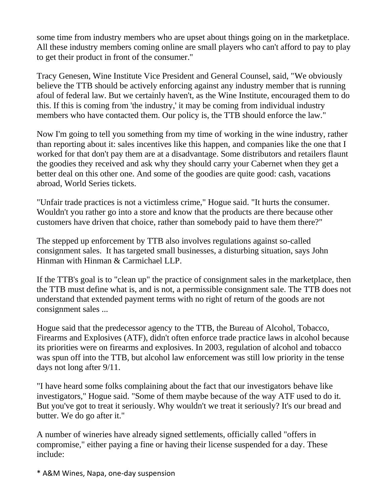some time from industry members who are upset about things going on in the marketplace. All these industry members coming online are small players who can't afford to pay to play to get their product in front of the consumer."

Tracy Genesen, Wine Institute Vice President and General Counsel, said, "We obviously believe the TTB should be actively enforcing against any industry member that is running afoul of federal law. But we certainly haven't, as the Wine Institute, encouraged them to do this. If this is coming from 'the industry,' it may be coming from individual industry members who have contacted them. Our policy is, the TTB should enforce the law."

Now I'm going to tell you something from my time of working in the wine industry, rather than reporting about it: sales incentives like this happen, and companies like the one that I worked for that don't pay them are at a disadvantage. Some distributors and retailers flaunt the goodies they received and ask why they should carry your Cabernet when they get a better deal on this other one. And some of the goodies are quite good: cash, vacations abroad, World Series tickets.

"Unfair trade practices is not a victimless crime," Hogue said. "It hurts the consumer. Wouldn't you rather go into a store and know that the products are there because other customers have driven that choice, rather than somebody paid to have them there?"

The stepped up enforcement by TTB also involves regulations against so-called consignment sales. It has targeted small businesses, a disturbing situation, says John Hinman with Hinman & Carmichael LLP.

If the TTB's goal is to "clean up" the practice of consignment sales in the marketplace, then the TTB must define what is, and is not, a permissible consignment sale. The TTB does not understand that extended payment terms with no right of return of the goods are not consignment sales ...

Hogue said that the predecessor agency to the TTB, the Bureau of Alcohol, Tobacco, Firearms and Explosives (ATF), didn't often enforce trade practice laws in alcohol because its priorities were on firearms and explosives. In 2003, regulation of alcohol and tobacco was spun off into the TTB, but alcohol law enforcement was still low priority in the tense days not long after 9/11.

"I have heard some folks complaining about the fact that our investigators behave like investigators," Hogue said. "Some of them maybe because of the way ATF used to do it. But you've got to treat it seriously. Why wouldn't we treat it seriously? It's our bread and butter. We do go after it."

A number of wineries have already signed settlements, officially called "offers in compromise," either paying a fine or having their license suspended for a day. These include:

\* A&M Wines, Napa, one-day suspension